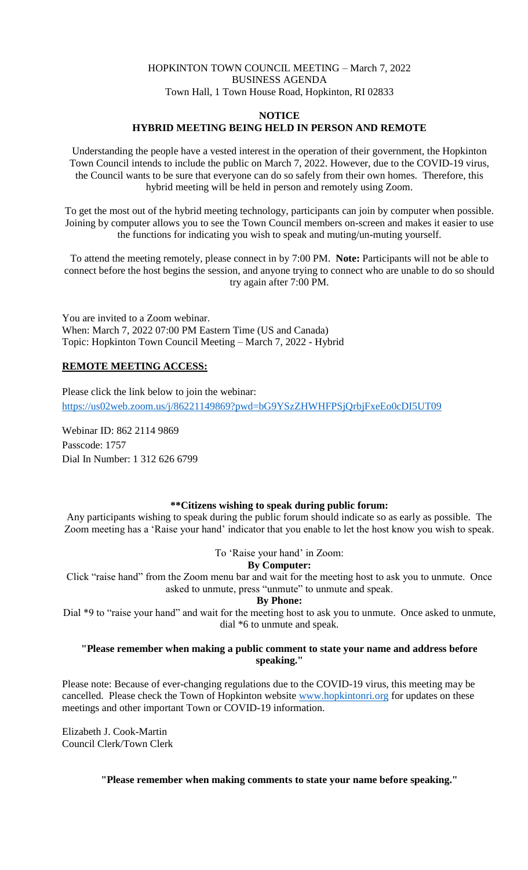## HOPKINTON TOWN COUNCIL MEETING – March 7, 2022 BUSINESS AGENDA Town Hall, 1 Town House Road, Hopkinton, RI 02833

#### **NOTICE**

### **HYBRID MEETING BEING HELD IN PERSON AND REMOTE**

Understanding the people have a vested interest in the operation of their government, the Hopkinton Town Council intends to include the public on March 7, 2022. However, due to the COVID-19 virus, the Council wants to be sure that everyone can do so safely from their own homes. Therefore, this hybrid meeting will be held in person and remotely using Zoom.

To get the most out of the hybrid meeting technology, participants can join by computer when possible. Joining by computer allows you to see the Town Council members on-screen and makes it easier to use the functions for indicating you wish to speak and muting/un-muting yourself.

To attend the meeting remotely, please connect in by 7:00 PM. **Note:** Participants will not be able to connect before the host begins the session, and anyone trying to connect who are unable to do so should try again after 7:00 PM.

You are invited to a Zoom webinar. When: March 7, 2022 07:00 PM Eastern Time (US and Canada) Topic: Hopkinton Town Council Meeting – March 7, 2022 - Hybrid

#### **REMOTE MEETING ACCESS:**

Please click the link below to join the webinar: <https://us02web.zoom.us/j/86221149869?pwd=bG9YSzZHWHFPSjQrbjFxeEo0cDI5UT09>

Webinar ID: 862 2114 9869 Passcode: 1757 Dial In Number: 1 312 626 6799

# **\*\*Citizens wishing to speak during public forum:**

Any participants wishing to speak during the public forum should indicate so as early as possible. The Zoom meeting has a 'Raise your hand' indicator that you enable to let the host know you wish to speak.

To 'Raise your hand' in Zoom:

### **By Computer:**

Click "raise hand" from the Zoom menu bar and wait for the meeting host to ask you to unmute. Once asked to unmute, press "unmute" to unmute and speak.

#### **By Phone:**

Dial \*9 to "raise your hand" and wait for the meeting host to ask you to unmute. Once asked to unmute, dial \*6 to unmute and speak.

#### **"Please remember when making a public comment to state your name and address before speaking."**

Please note: Because of ever-changing regulations due to the COVID-19 virus, this meeting may be cancelled. Please check the Town of Hopkinton website [www.hopkintonri.org](http://www.hopkintonri.org/) for updates on these meetings and other important Town or COVID-19 information.

Elizabeth J. Cook-Martin Council Clerk/Town Clerk

**"Please remember when making comments to state your name before speaking."**